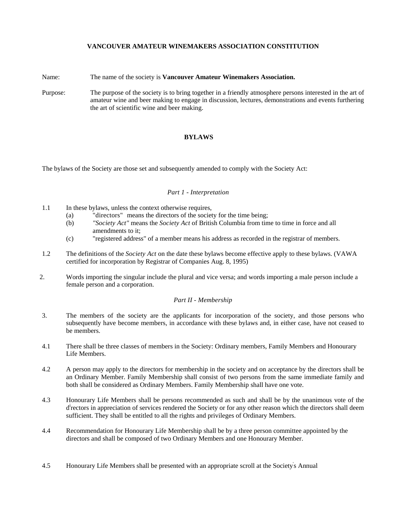# **VANCOUVER AMATEUR WINEMAKERS ASSOCIATION CONSTITUTION**

Name: The name of the society is **Vancouver Amateur Winemakers Association.** 

Purpose: The purpose of the society is to bring together in a friendly atmosphere persons interested in the art of amateur wine and beer making to engage in discussion, lectures, demonstrations and events furthering the art of scientific wine and beer making.

# **BYLAWS**

The bylaws of the Society are those set and subsequently amended to comply with the Society Act:

### *Part 1 - Interpretation*

- 1.1 In these bylaws, unless the context otherwise requires,
	- (a) "directors" means the directors of the society for the time being;
	- (b) *"Society Act"* means the *Society Act* of British Columbia from time to time in force and all amendments to it;
	- (c) "registered address" of a member means his address as recorded in the registrar of members.
- 1.2 The definitions of the *Society Act* on the date these bylaws become effective apply to these bylaws. (VAWA certified for incorporation by Registrar of Companies Aug. 8, 1995)
- 2. Words importing the singular include the plural and vice versa; and words importing a male person include a female person and a corporation.

## *Part II - Membership*

- 3. The members of the society are the applicants for incorporation of the society, and those persons who subsequently have become members, in accordance with these bylaws and, in either case, have not ceased to be members.
- 4.1 There shall be three classes of members in the Society: Ordinary members, Family Members and Honourary Life Members.
- 4.2 A person may apply to the directors for membership in the society and on acceptance by the directors shall be an Ordinary Member. Family Membership shall consist of two persons from the same immediate family and both shall be considered as Ordinary Members. Family Membership shall have one vote.
- 4.3 Honourary Life Members shall be persons recommended as such and shall be by the unanimous vote of the d<sup>i</sup>rectors in appreciation of services rendered the Society or for any other reason which the directors shall deem sufficient. They shall be entitled to all the rights and privileges of Ordinary Members.
- 4.4 Recommendation for Honourary Life Membership shall be by a three person committee appointed by the directors and shall be composed of two Ordinary Members and one Honourary Member.
- 4.5 Honourary Life Members shall be presented with an appropriate scroll at the Society' s Annual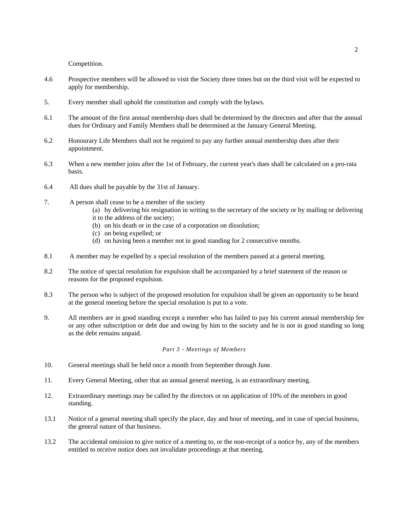Competition.

- 4.6 Prospective members will be allowed to visit the Society three times but on the third visit will be expected to apply for membership.
- 5. Every member shall uphold the constitution and comply with the bylaws.
- 6.1 The amount of the first annual membership dues shall be determined by the directors and after that the annual dues for Ordinary and Family Members shall be determined at the January General Meeting.
- 6.2 Honourary Life Members shall not be required to pay any further annual membership dues after their appointment.
- 6.3 When a new member joins after the 1st of February, the current year's dues shall be calculated on a pro-rata basis.
- 6.4 All dues shall be payable by the 31st of January.
- 7. A person shall cease to be a member of the society
	- (a) by delivering his resignation in writing to the secretary of the society or by mailing or delivering it to the address of the society;
	- (b) on his death or in the case of a corporation on dissolution;
	- (c) on being expelled; or
	- (d) on having been a member not in good standing for 2 consecutive months.
- 8.1 A member may be expelled by a special resolution of the members passed at a general meeting.
- 8.2 The notice of special resolution for expulsion shall be accompanied by a brief statement of the reason or reasons for the proposed expulsion.
- 8.3 The person who is subject of the proposed resolution for expulsion shall be given an opportunity to be heard at the general meeting before the special resolution is put to a vote.
- 9. All members are in good standing except a member who has failed to pay his current annual membership fee or any other subscription or debt due and owing by him to the society and he is not in good standing so long as the debt remains unpaid.

## *Part 3 - Meetings of Members*

- 10. General meetings shall be held once a month from September through June.
- 11. Every General Meeting, other that an annual general meeting, is an extraordinary meeting.
- 12. Extraordinary meetings may be called by the directors or on application of 10% of the members in good standing.
- 13.1 Notice of a general meeting shall specify the place, day and hour of meeting, and in case of special business, the general nature of that business.
- 13.2 The accidental omission to give notice of a meeting to, or the non-receipt of a notice by, any of the members entitled to receive notice does not invalidate proceedings at that meeting.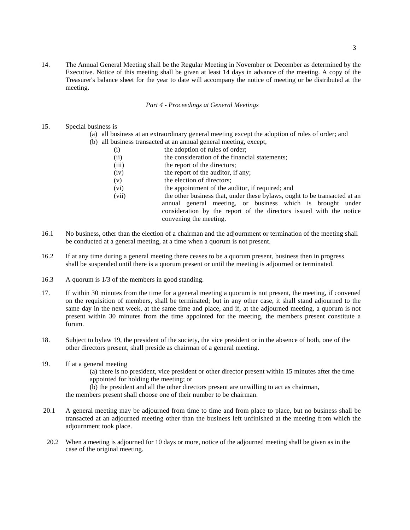14. The Annual General Meeting shall be the Regular Meeting in November or December as determined by the Executive. Notice of this meeting shall be given at least 14 days in advance of the meeting. A copy of the Treasurer's balance sheet for the year to date will accompany the notice of meeting or be distributed at the meeting.

### *Part 4 - Proceedings at General Meetings*

## 15. Special business is

- (a) all business at an extraordinary general meeting except the adoption of rules of order; and
- (b) all business transacted at an annual general meeting, except,
	- (i) the adoption of rules of order;
		- (ii) the consideration of the financial statements;
		- (iii) the report of the directors;
		- (iv) the report of the auditor, if any;
		- (v) the election of directors;
		- (vi) the appointment of the auditor, if required; and
		- (vii) the other business that, under these bylaws, ought to be transacted at an annual general meeting, or business which is brought under consideration by the report of the directors issued with the notice convening the meeting.
- 16.1 No business, other than the election of a chairman and the adjournment or termination of the meeting shall be conducted at a general meeting, at a time when a quorum is not present.
- 16.2 If at any time during a general meeting there ceases to be a quorum present, business then in progress shall be suspended until there is a quorum present or until the meeting is adjourned or terminated.
- 16.3 A quorum is 1/3 of the members in good standing.
- 17. If within 30 minutes from the time for a general meeting a quorum is not present, the meeting, if convened on the requisition of members, shall be terminated; but in any other case, it shall stand adjourned to the same day in the next week, at the same time and place, and if, at the adjourned meeting, a quorum is not present within 30 minutes from the time appointed for the meeting, the members present constitute a forum.
- 18. Subject to bylaw 19, the president of the society, the vice president or in the absence of both, one of the other directors present, shall preside as chairman of a general meeting.
- 19. If at a general meeting
	- (a) there is no president, vice president or other director present within 15 minutes after the time appointed for holding the meeting; or
	- (b) the president and all the other directors present are unwilling to act as chairman,

the members present shall choose one of their number to be chairman.

- 20.1 A general meeting may be adjourned from time to time and from place to place, but no business shall be transacted at an adjourned meeting other than the business left unfinished at the meeting from which the adjournment took place.
- 20.2 When a meeting is adjourned for 10 days or more, notice of the adjourned meeting shall be given as in the case of the original meeting.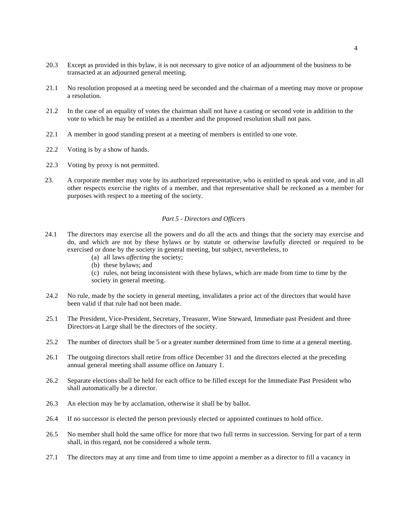- 20.3 Except as provided in this bylaw, it is not necessary to give notice of an adjournment of the business to be transacted at an adjourned general meeting.
- 21.1 No resolution proposed at a meeting need be seconded and the chairman of a meeting may move or propose a resolution.
- 21.2 In the case of an equality of votes the chairman shall not have a casting or second vote in addition to the vote to which he may be entitled as a member and the proposed resolution shall not pass.
- 22.1 A member in good standing present at a meeting of members is entitled to one vote.
- 22.2 Voting is by a show of hands.
- 22.3 Voting by proxy is not permitted.
- 23. A corporate member may vote by its authorized representative, who is entitled to speak and vote, and in all other respects exercise the rights of a member, and that representative shall be reckoned as a member for purposes with respect to a meeting of the society.

#### *Part 5 - Directors and Officers*

- 24.1 The directors may exercise all the powers and do all the acts and things that the society may exercise and do, and which are not by these bylaws or by statute or otherwise lawfully directed or required to be exercised or done by the society in general meeting, but subject, nevertheless, to
	- (a) all laws *affecting* the society;
	- (b) these bylaws; and

(c) rules, not being inconsistent with these bylaws, which are made from time to time by the society in general meeting.

- 24.2 No rule, made by the society in general meeting, invalidates a prior act of the directors that would have been valid if that rule had not been made.
- 25.1 The President, Vice-President, Secretary, Treasurer, Wine Steward, Immediate past President and three Directors-at Large shall be the directors of the society.
- 25.2 The number of directors shall be 5 or a greater number determined from time to time at a general meeting.
- 26.1 The outgoing directors shall retire from office December 31 and the directors elected at the preceding annual general meeting shall assume office on January 1.
- 26.2 Separate elections shall be held for each office to be filled except for the Immediate Past President who shall automatically be a director.
- 26.3 An election may be by acclamation, otherwise it shall be by ballot.
- 26.4 If no successor is elected the person previously elected or appointed continues to hold office.
- 26.5 No member shall hold the same office for more that two full terms in succession. Serving for part of a term shall, in this regard, not be considered a whole term.
- 27.1 The directors may at any time and from time to time appoint a member as a director to fill a vacancy in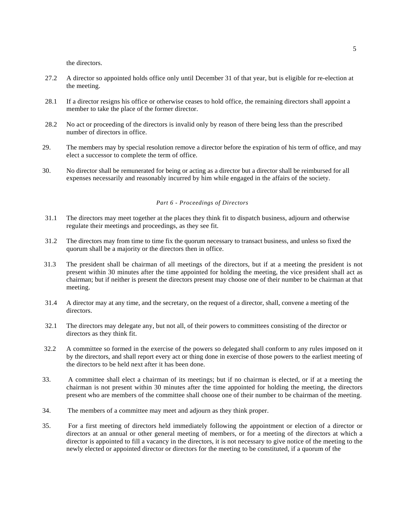the directors.

- 27.2 A director so appointed holds office only until December 31 of that year, but is eligible for re-election at the meeting.
- 28.1 If a director resigns his office or otherwise ceases to hold office, the remaining directors shall appoint a member to take the place of the former director.
- 28.2 No act or proceeding of the directors is invalid only by reason of there being less than the prescribed number of directors in office.
- 29. The members may by special resolution remove a director before the expiration of his term of office, and may elect a successor to complete the term of office.
- 30. No director shall be remunerated for being or acting as a director but a director shall be reimbursed for all expenses necessarily and reasonably incurred by him while engaged in the affairs of the society.

### *Part 6 - Proceedings of Directors*

- 31.1 The directors may meet together at the places they think fit to dispatch business, adjourn and otherwise regulate their meetings and proceedings, as they see fit.
- 31.2 The directors may from time to time fix the quorum necessary to transact business, and unless so fixed the quorum shall be a majority or the directors then in office.
- 31.3 The president shall be chairman of all meetings of the directors, but if at a meeting the president is not present within 30 minutes after the time appointed for holding the meeting, the vice president shall act as chairman; but if neither is present the directors present may choose one of their number to be chairman at that meeting.
- 31.4 A director may at any time, and the secretary, on the request of a director, shall, convene a meeting of the directors.
- 32.1 The directors may delegate any, but not all, of their powers to committees consisting of the director or directors as they think fit.
- 32.2 A committee so formed in the exercise of the powers so delegated shall conform to any rules imposed on it by the directors, and shall report every act or thing done in exercise of those powers to the earliest meeting of the directors to be held next after it has been done.
- 33. A committee shall elect a chairman of its meetings; but if no chairman is elected, or if at a meeting the chairman is not present within 30 minutes after the time appointed for holding the meeting, the directors present who are members of the committee shall choose one of their number to be chairman of the meeting.
- 34. The members of a committee may meet and adjourn as they think proper.
- 35. For a first meeting of directors held immediately following the appointment or election of a director or directors at an annual or other general meeting of members, or for a meeting of the directors at which a director is appointed to fill a vacancy in the directors, it is not necessary to give notice of the meeting to the newly elected or appointed director or directors for the meeting to be constituted, if a quorum of the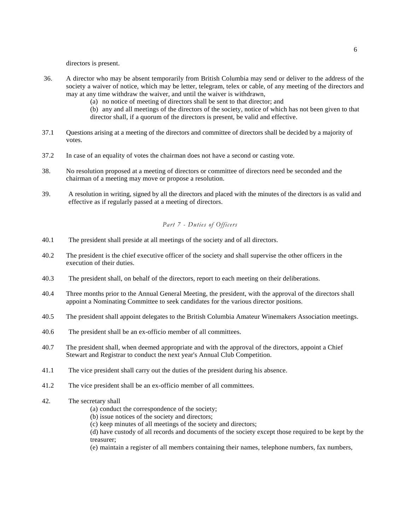directors is present.

- 36. A director who may be absent temporarily from British Columbia may send or deliver to the address of the society a waiver of notice, which may be letter, telegram, telex or cable, of any meeting of the directors and may at any time withdraw the waiver, and until the waiver is withdrawn,
	- (a) no notice of meeting of directors shall be sent to that director; and
	- (b) any and all meetings of the directors of the society, notice of which has not been given to that director shall, if a quorum of the directors is present, be valid and effective.
- 37.1 Questions arising at a meeting of the directors and committee of directors shall be decided by a majority of votes.
- 37.2 In case of an equality of votes the chairman does not have a second or casting vote.
- 38. No resolution proposed at a meeting of directors or committee of directors need be seconded and the chairman of a meeting may move or propose a resolution.
- 39. A resolution in writing, signed by all the directors and placed with the minutes of the directors is as valid and effective as if regularly passed at a meeting of directors.

## *Part 7 - Duties of Officers*

- 40.1 The president shall preside at all meetings of the society and of all directors.
- 40.2 The president is the chief executive officer of the society and shall supervise the other officers in the execution of their duties.
- 40.3 The president shall, on behalf of the directors, report to each meeting on their deliberations.
- 40.4 Three months prior to the Annual General Meeting, the president, with the approval of the directors shall appoint a Nominating Committee to seek candidates for the various director positions.
- 40.5 The president shall appoint delegates to the British Columbia Amateur Winemakers Association meetings.
- 40.6 The president shall be an ex-officio member of all committees.
- 40.7 The president shall, when deemed appropriate and with the approval of the directors, appoint a Chief Stewart and Registrar to conduct the next year's Annual Club Competition.
- 41.1 The vice president shall carry out the duties of the president during his absence.
- 41.2 The vice president shall be an ex-officio member of all committees.
- 42. The secretary shall
	- (a) conduct the correspondence of the society;
	- (b) issue notices of the society and directors;
	- (c) keep minutes of all meetings of the society and directors;

(d) have custody of all records and documents of the society except those required to be kept by the treasurer;

(e) maintain a register of all members containing their names, telephone numbers, fax numbers,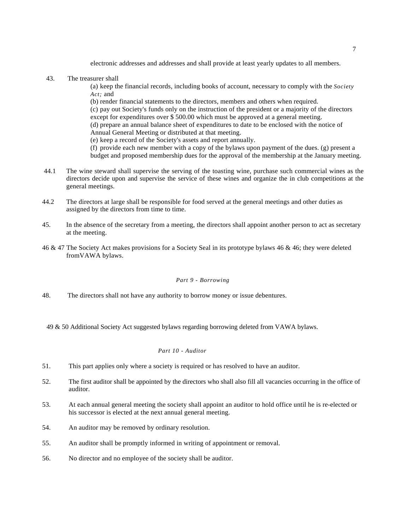electronic addresses and addresses and shall provide at least yearly updates to all members.

43. The treasurer shall

(a) keep the financial records, including books of account, necessary to comply with the *Society Act;* and

(b) render financial statements to the directors, members and others when required.

(c) pay out Society's funds only on the instruction of the president or a majority of the directors except for expenditures over \$ 500.00 which must be approved at a general meeting.

(d) prepare an annual balance sheet of expenditures to date to be enclosed with the notice of Annual General Meeting or distributed at that meeting.

(e) keep a record of the Society's assets and report annually.

(f) provide each new member with a copy of the bylaws upon payment of the dues. (g) present a

budget and proposed membership dues for the approval of the membership at the January meeting.

- 44.1 The wine steward shall supervise the serving of the toasting wine, purchase such commercial wines as the directors decide upon and supervise the service of these wines and organize the in club competitions at the general meetings.
- 44.2 The directors at large shall be responsible for food served at the general meetings and other duties as assigned by the directors from time to time.
- 45. In the absence of the secretary from a meeting, the directors shall appoint another person to act as secretary at the meeting.
- 46 & 47 The Society Act makes provisions for a Society Seal in its prototype bylaws 46 & 46; they were deleted fromVAWA bylaws.

## *Part 9 - Borrowing*

48. The directors shall not have any authority to borrow money or issue debentures.

49 & 50 Additional Society Act suggested bylaws regarding borrowing deleted from VAWA bylaws.

## *Part 10 - Auditor*

- 51. This part applies only where a society is required or has resolved to have an auditor.
- 52. The first auditor shall be appointed by the directors who shall also fill all vacancies occurring in the office of auditor.
- 53. At each annual general meeting the society shall appoint an auditor to hold office until he is re-elected or his successor is elected at the next annual general meeting.
- 54. An auditor may be removed by ordinary resolution.
- 55. An auditor shall be promptly informed in writing of appointment or removal.
- 56. No director and no employee of the society shall be auditor.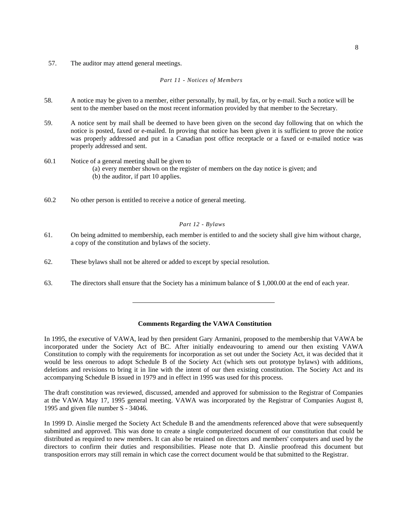57. The auditor may attend general meetings.

*Part 11 - Notices of Members* 

- 58. A notice may be given to a member, either personally, by mail, by fax, or by e-mail. Such a notice will be sent to the member based on the most recent information provided by that member to the Secretary.
- 59. A notice sent by mail shall be deemed to have been given on the second day following that on which the notice is posted, faxed or e-mailed. In proving that notice has been given it is sufficient to prove the notice was properly addressed and put in a Canadian post office receptacle or a faxed or e-mailed notice was properly addressed and sent.
- 60.1 Notice of a general meeting shall be given to
	- (a) every member shown on the register of members on the day notice is given; and
	- (b) the auditor, if part 10 applies.
- 60.2 No other person is entitled to receive a notice of general meeting.

## *Part 12 - Bylaws*

- 61. On being admitted to membership, each member is entitled to and the society shall give him without charge, a copy of the constitution and bylaws of the society.
- 62. These bylaws shall not be altered or added to except by special resolution.
- 63. The directors shall ensure that the Society has a minimum balance of \$ 1,000.00 at the end of each year.

### **Comments Regarding the VAWA Constitution**

In 1995, the executive of VAWA, lead by then president Gary Armanini, proposed to the membership that VAWA be incorporated under the Society Act of BC. After initially endeavouring to amend our then existing VAWA Constitution to comply with the requirements for incorporation as set out under the Society Act, it was decided that it would be less onerous to adopt Schedule B of the Society Act (which sets out prototype bylaws) with additions, deletions and revisions to bring it in line with the intent of our then existing constitution. The Society Act and its accompanying Schedule B issued in 1979 and in effect in 1995 was used for this process.

The draft constitution was reviewed, discussed, amended and approved for submission to the Registrar of Companies at the VAWA May 17, 1995 general meeting. VAWA was incorporated by the Registrar of Companies August 8, 1995 and given file number S - 34046.

In 1999 D. Ainslie merged the Society Act Schedule B and the amendments referenced above that were subsequently submitted and approved. This was done to create a single computerized document of our constitution that could be distributed as required to new members. It can also be retained on directors and members' computers and used by the directors to confirm their duties and responsibilities. Please note that D. Ainslie proofread this document but transposition errors may still remain in which case the correct document would be that submitted to the Registrar.